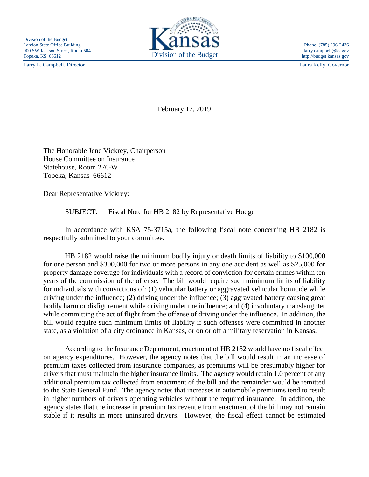Larry L. Campbell, Director Laura Kelly, Governor



http://budget.kansas.gov

February 17, 2019

The Honorable Jene Vickrey, Chairperson House Committee on Insurance Statehouse, Room 276-W Topeka, Kansas 66612

Dear Representative Vickrey:

SUBJECT: Fiscal Note for HB 2182 by Representative Hodge

In accordance with KSA 75-3715a, the following fiscal note concerning HB 2182 is respectfully submitted to your committee.

HB 2182 would raise the minimum bodily injury or death limits of liability to \$100,000 for one person and \$300,000 for two or more persons in any one accident as well as \$25,000 for property damage coverage for individuals with a record of conviction for certain crimes within ten years of the commission of the offense. The bill would require such minimum limits of liability for individuals with convictions of: (1) vehicular battery or aggravated vehicular homicide while driving under the influence; (2) driving under the influence; (3) aggravated battery causing great bodily harm or disfigurement while driving under the influence; and (4) involuntary manslaughter while committing the act of flight from the offense of driving under the influence. In addition, the bill would require such minimum limits of liability if such offenses were committed in another state, as a violation of a city ordinance in Kansas, or on or off a military reservation in Kansas.

According to the Insurance Department, enactment of HB 2182 would have no fiscal effect on agency expenditures. However, the agency notes that the bill would result in an increase of premium taxes collected from insurance companies, as premiums will be presumably higher for drivers that must maintain the higher insurance limits. The agency would retain 1.0 percent of any additional premium tax collected from enactment of the bill and the remainder would be remitted to the State General Fund. The agency notes that increases in automobile premiums tend to result in higher numbers of drivers operating vehicles without the required insurance. In addition, the agency states that the increase in premium tax revenue from enactment of the bill may not remain stable if it results in more uninsured drivers. However, the fiscal effect cannot be estimated